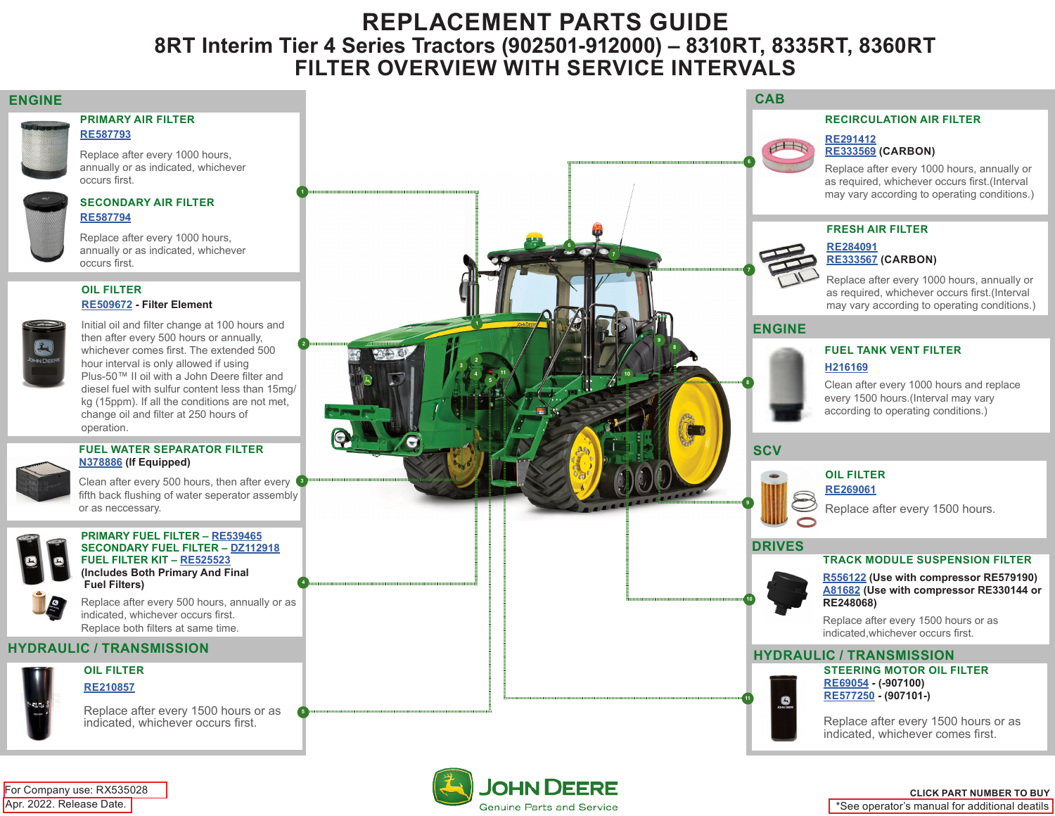# **REPLACEMENT PARTS GUIDE 8RT Interim Tier 4 Series Tractors (902501-912000) – 8310RT, 8335RT, 8360RT FILTER OVERVIEW WITH SERVICE INTERVALS**



**[RE587793](https://jdparts.deere.com/servlet/com.deere.u90.jdparts.view.servlets.partinfocontroller.PartDetails?screenName=JDSearch&&partSearchNumber=RE587793)**

Replace after every 1000 hours, annually or as indicated, whichever occurs first.

### **SECONDARY AIR FILTER [RE587794](https://jdparts.deere.com/servlet/com.deere.u90.jdparts.view.servlets.partinfocontroller.PartDetails?screenName=JDSearch&&partSearchNumber=RE587794)**

Replace after every 1000 hours, annually or as indicated, whichever occurs first.

## **OIL FILTER [RE509672](https://jdparts.deere.com/servlet/com.deere.u90.jdparts.view.servlets.partinfocontroller.PartDetails?screenName=JDSearch&&partSearchNumber=RE509672) - Filter Element**

Initial oil and filter change at 100 hours and then after every 500 hours or annually, whichever comes first. The extended 500 hour interval is only allowed if using Plus-50™ II oil with a John Deere filter and diesel fuel with sulfur content less than 15mg/ kg (15ppm). If all the conditions are not met, change oil and filter at 250 hours of operation.

### **FUEL WATER SEPARATOR FILTER [N378886](https://jdparts.deere.com/servlet/com.deere.u90.jdparts.view.servlets.partinfocontroller.PartDetails?screenName=JDSearch&&partSearchNumber=N378886) (If Equipped)**

Clean after every 500 hours, then after every fifth back flushing of water seperator assembly or as neccessary. **3**



**PRIMARY FUEL FILTER – [RE539465](https://jdparts.deere.com/servlet/com.deere.u90.jdparts.view.servlets.partinfocontroller.PartDetails?screenName=JDSearch&&partSearchNumber=RE539465) SECONDARY FUEL FILTER – [DZ112918](https://jdparts.deere.com/servlet/com.deere.u90.jdparts.view.servlets.partinfocontroller.PartDetails?screenName=JDSearch&&partSearchNumber=DZ112918) FUEL FILTER KIT – [RE525523](https://jdparts.deere.com/servlet/com.deere.u90.jdparts.view.servlets.partinfocontroller.PartDetails?screenName=JDSearch&&partSearchNumber=RE525523) (Includes Both Primary And Final Fuel Filters)**

Replace after every 500 hours, annually or as indicated, whichever occurs first. Replace both filters at same time.



**OIL FILTER [RE210857](https://jdparts.deere.com/servlet/com.deere.u90.jdparts.view.servlets.partinfocontroller.PartDetails?screenName=JDSearch&&partSearchNumber=RE210857)**

> Replace after every 1500 hours or as indicated, whichever occurs first.



Genuine Parts and Service

Apr. 2022. Release Date. For Company use: RX535028

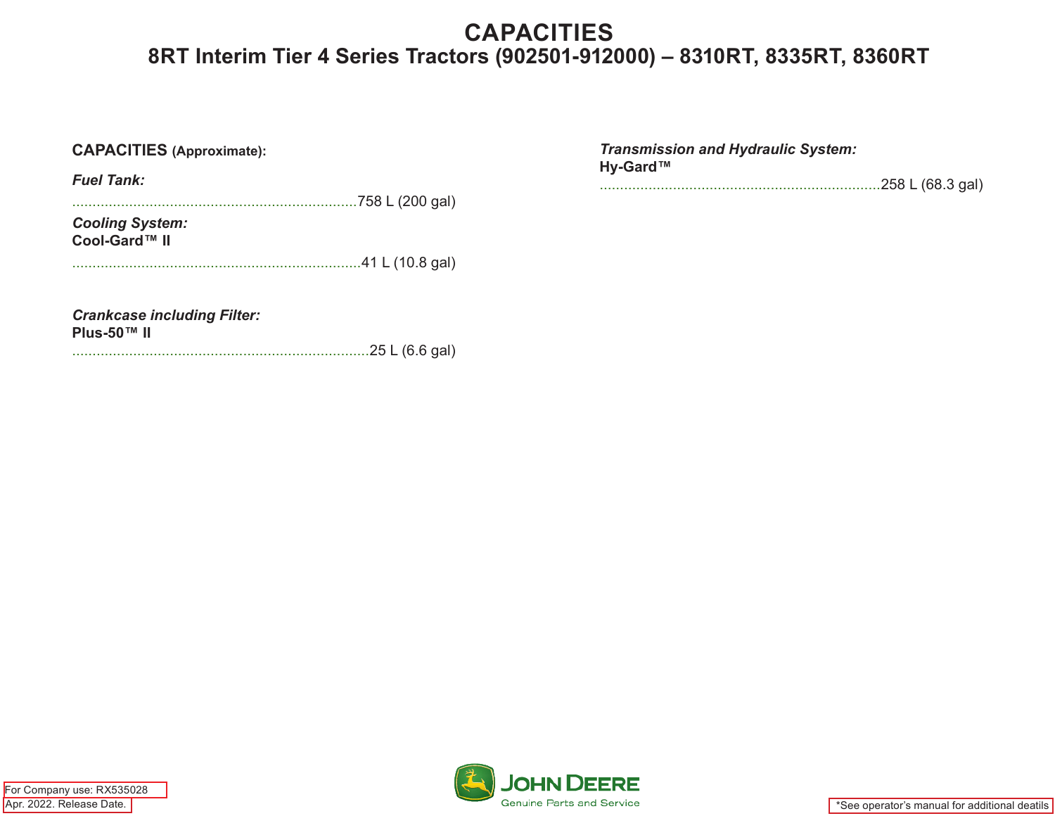# **CAPACITIES 8RT Interim Tier 4 Series Tractors (902501-912000) – 8310RT, 8335RT, 8360RT**

| <b>CAPACITIES</b> (Approximate):                                    | <b>Transmission and Hydraulic System:</b> |
|---------------------------------------------------------------------|-------------------------------------------|
| <b>Fuel Tank:</b>                                                   | Hy-Gard™<br>.258 L (68.3 gal)             |
| <b>Cooling System:</b><br>Cool-Gard™ II                             |                                           |
| <b>Crankcase including Filter:</b><br>Plus-50™ II<br>25 L (6.6 gal) |                                           |